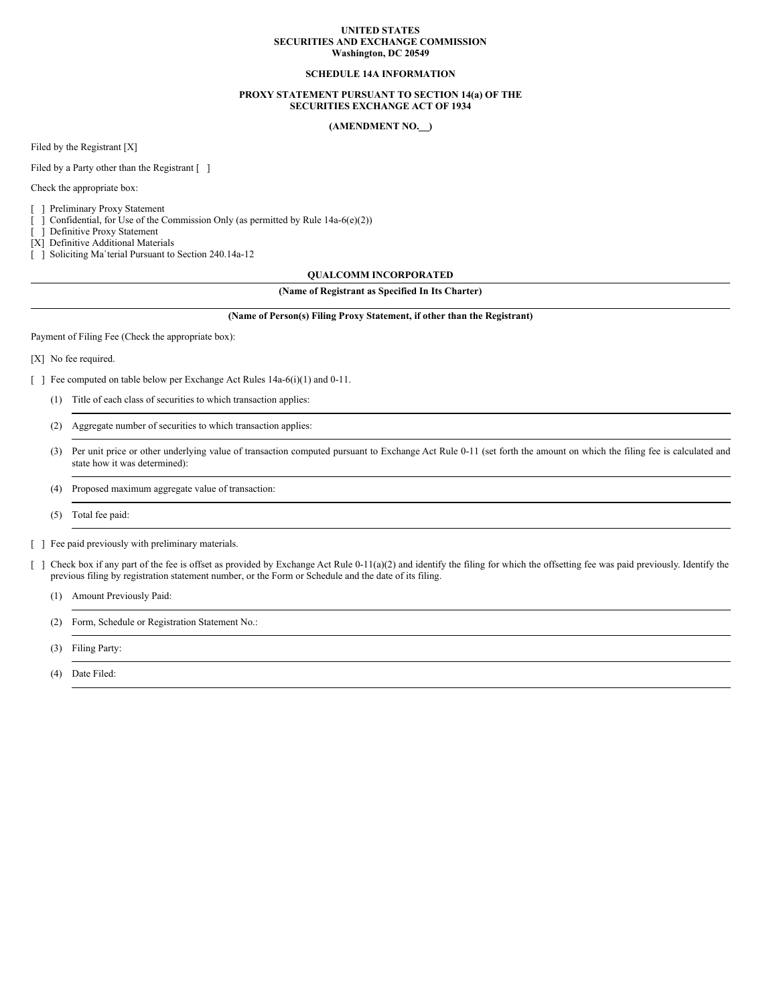#### **UNITED STATES SECURITIES AND EXCHANGE COMMISSION Washington, DC 20549**

# **SCHEDULE 14A INFORMATION**

# **PROXY STATEMENT PURSUANT TO SECTION 14(a) OF THE SECURITIES EXCHANGE ACT OF 1934**

# **(AMENDMENT NO. )**

Filed by the Registrant [X]

Filed by a Party other than the Registrant [ ]

Check the appropriate box:

[ ] Preliminary Proxy Statement

[ ] Confidential, for Use of the Commission Only (as permitted by Rule 14a-6(e)(2))

[ ] Definitive Proxy Statement

[X] Definitive Additional Materials

[ ] Soliciting Ma`terial Pursuant to Section 240.14a-12

# **QUALCOMM INCORPORATED**

# **(Name of Registrant as Specified In Its Charter)**

#### **(Name of Person(s) Filing Proxy Statement, if other than the Registrant)**

Payment of Filing Fee (Check the appropriate box):

[X] No fee required.

[ ] Fee computed on table below per Exchange Act Rules 14a-6(i)(1) and 0-11.

- (1) Title of each class of securities to which transaction applies:
- (2) Aggregate number of securities to which transaction applies:
- (3) Per unit price or other underlying value of transaction computed pursuant to Exchange Act Rule 0-11 (set forth the amount on which the filing fee is calculated and state how it was determined):
- (4) Proposed maximum aggregate value of transaction:
- (5) Total fee paid:
- [ ] Fee paid previously with preliminary materials.
- [ ] Check box if any part of the fee is offset as provided by Exchange Act Rule 0-11(a)(2) and identify the filing for which the offsetting fee was paid previously. Identify the previous filing by registration statement number, or the Form or Schedule and the date of its filing.
	- (1) Amount Previously Paid:
	- (2) Form, Schedule or Registration Statement No.:
	- (3) Filing Party:
	- (4) Date Filed: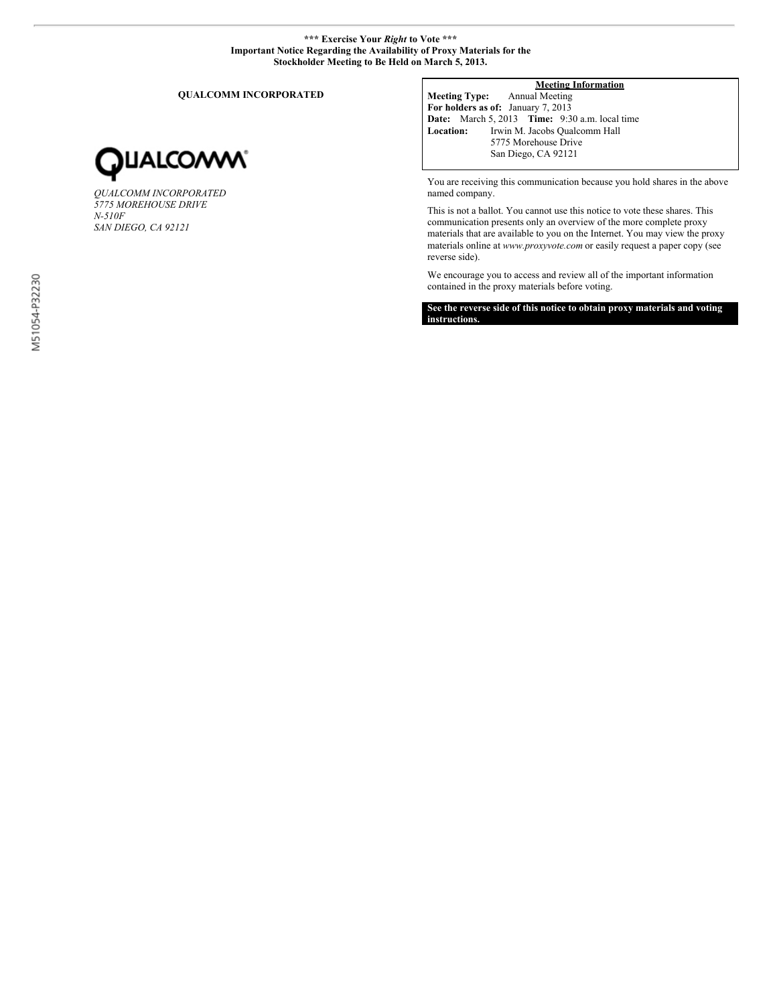# **\*\*\* Exercise Your** *Right* **to Vote \*\*\* Important Notice Regarding the Availability of Proxy Materials for the Stockholder Meeting to Be Held on March 5, 2013.**

**QUALCOMM INCORPORATED**



*QUALCOMM INCORPORATED 5775 MOREHOUSE DRIVE N-510F SAN DIEGO, CA 92121*

# **Meeting Information**

**Meeting Type:** Annual Meeting **For holders as of:** January 7, 2013 **Date:** March 5, 2013 **Time:** 9:30 a.m. local time **Location:** Irwin M. Jacobs Qualcomm Hall 5775 Morehouse Drive San Diego, CA 92121

You are receiving this communication because you hold shares in the above named company.

This is not a ballot. You cannot use this notice to vote these shares. This communication presents only an overview of the more complete proxy materials that are available to you on the Internet. You may view the proxy materials online at *www.proxyvote.com* or easily request a paper copy (see reverse side).

We encourage you to access and review all of the important information contained in the proxy materials before voting.

**See the reverse side of this notice to obtain proxy materials and voting instructions.**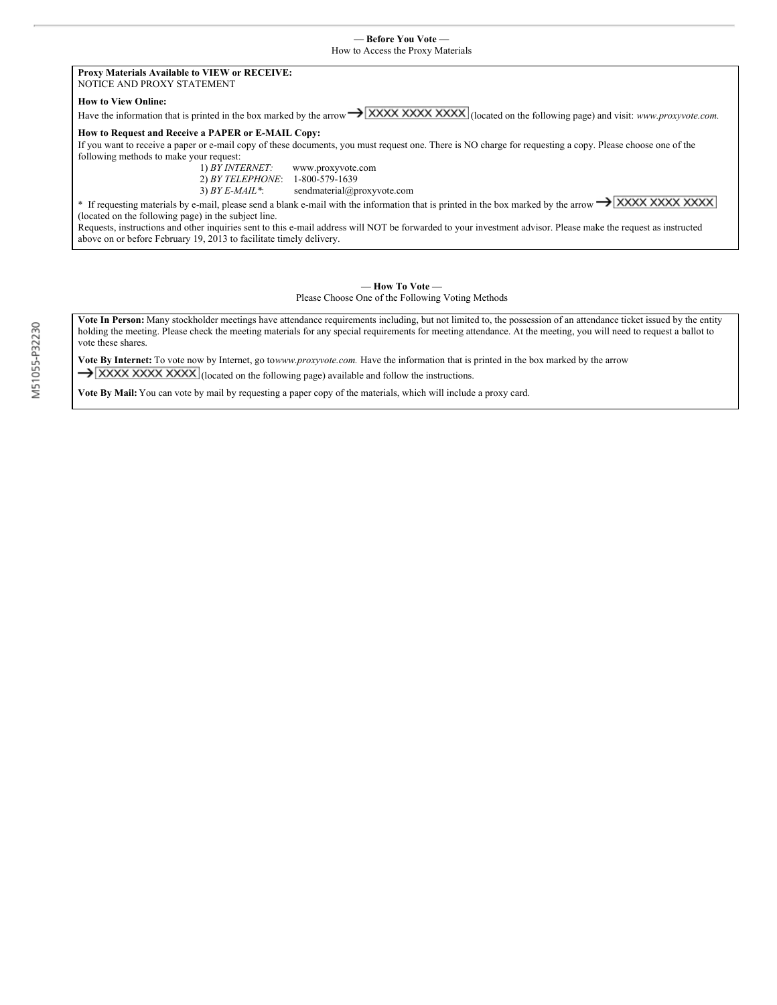## **Proxy Materials Available to VIEW or RECEIVE:** NOTICE AND PROXY STATEMENT

#### **How to View Online:**

Have the information that is printed in the box marked by the arrow  $\rightarrow$  XXXX XXXX XXXX (located on the following page) and visit: *www.proxyvote.com.* 

# **How to Request and Receive a PAPER or E-MAIL Copy:**

If you want to receive a paper or e-mail copy of these documents, you must request one. There is NO charge for requesting a copy. Please choose one of the following methods to make your request:<br> $1)$  *BY INTERNET*:

1) *BY INTERNET:* www.proxyvote.com 2) *BY TELEPHONE*: 1-800-579-1639

3) *BY E-MAIL\**: sendmaterial@proxyvote.com

\* If requesting materials by e-mail, please send a blank e-mail with the information that is printed in the box marked by the arrow  $\rightarrow$  XXXX XXXX XXXX (located on the following page) in the subject line.

Requests, instructions and other inquiries sent to this e-mail address will NOT be forwarded to your investment advisor. Please make the request as instructed above on or before February 19, 2013 to facilitate timely delivery.

## **— How To Vote —** Please Choose One of the Following Voting Methods

**Vote In Person:** Many stockholder meetings have attendance requirements including, but not limited to, the possession of an attendance ticket issued by the entity holding the meeting. Please check the meeting materials for any special requirements for meeting attendance. At the meeting, you will need to request a ballot to vote these shares.

**Vote By Internet:** To vote now by Internet, go to*www.proxyvote.com.* Have the information that is printed in the box marked by the arrow  $\rightarrow$  XXXX XXXX XXXX (located on the following page) available and follow the instructions.

**Vote By Mail:** You can vote by mail by requesting a paper copy of the materials, which will include a proxy card.